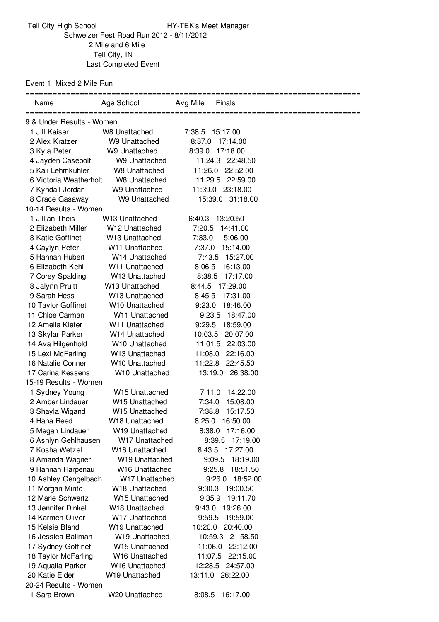Tell City High School HY-TEK's Meet Manager Schweizer Fest Road Run 2012 - 8/11/2012 Mile and 6 Mile Tell City, IN Last Completed Event

Event 1 Mixed 2 Mile Run

| Name                                   | Age School                     | Avg Mile         | <b>Finals</b>                |  |
|----------------------------------------|--------------------------------|------------------|------------------------------|--|
|                                        |                                |                  |                              |  |
| 9 & Under Results - Women              |                                |                  |                              |  |
| 1 Jill Kaiser                          | W8 Unattached<br>W9 Unattached | 7:38.5           | 15:17.00                     |  |
| 2 Alex Kratzer                         | W9 Unattached                  | 8:37.0<br>8:39.0 | 17:14.00<br>17:18.00         |  |
| 3 Kyla Peter                           |                                |                  | 11:24.3 22:48.50             |  |
| 4 Jayden Casebolt<br>5 Kali Lehmkuhler | W9 Unattached<br>W8 Unattached |                  |                              |  |
| 6 Victoria Weatherholt                 | <b>W8 Unattached</b>           | 11:29.5          | 11:26.0 22:52.00<br>22:59.00 |  |
| 7 Kyndall Jordan                       | W9 Unattached                  |                  | 11:39.0 23:18.00             |  |
| 8 Grace Gasaway                        | W9 Unattached                  |                  | 15:39.0 31:18.00             |  |
| 10-14 Results - Women                  |                                |                  |                              |  |
| 1 Jillian Theis                        | W <sub>13</sub> Unattached     |                  | 6:40.3 13:20.50              |  |
| 2 Elizabeth Miller                     | W12 Unattached                 | 7:20.5           | 14:41.00                     |  |
| 3 Katie Goffinet                       | W <sub>13</sub> Unattached     | 7:33.0           | 15:06.00                     |  |
| 4 Caylyn Peter                         | W11 Unattached                 | 7:37.0           | 15:14.00                     |  |
| 5 Hannah Hubert                        | W14 Unattached                 | 7:43.5           | 15:27.00                     |  |
| 6 Elizabeth Kehl                       | W <sub>11</sub> Unattached     | 8:06.5           | 16:13.00                     |  |
| 7 Corey Spalding                       | W13 Unattached                 | 8:38.5           | 17:17.00                     |  |
| 8 Jalynn Pruitt                        | W <sub>13</sub> Unattached     | 8:44.5           | 17:29.00                     |  |
| 9 Sarah Hess                           | W <sub>13</sub> Unattached     | 8:45.5           | 17:31.00                     |  |
| 10 Taylor Goffinet                     | W10 Unattached                 | 9:23.0           | 18:46.00                     |  |
| 11 Chloe Carman                        | W11 Unattached                 | 9:23.5           | 18:47.00                     |  |
| 12 Amelia Kiefer                       | W11 Unattached                 | 9:29.5           | 18:59.00                     |  |
| 13 Skylar Parker                       | W14 Unattached                 | 10:03.5          | 20:07.00                     |  |
| 14 Ava Hilgenhold                      | W10 Unattached                 | 11:01.5          | 22:03.00                     |  |
| 15 Lexi McFarling                      | W <sub>13</sub> Unattached     | 11:08.0          | 22:16.00                     |  |
| 16 Natalie Conner                      | W10 Unattached                 |                  | 11:22.8 22:45.50             |  |
| 17 Carina Kessens                      | W10 Unattached                 |                  | 13:19.0<br>26:38.00          |  |
| 15-19 Results - Women                  |                                |                  |                              |  |
| 1 Sydney Young                         | W15 Unattached                 | 7:11.0           | 14:22.00                     |  |
| 2 Amber Lindauer                       | W <sub>15</sub> Unattached     | 7:34.0           | 15:08.00                     |  |
| 3 Shayla Wigand                        | W15 Unattached                 | 7:38.8           | 15:17.50                     |  |
| 4 Hana Reed                            | W18 Unattached                 |                  | 8:25.0 16:50.00              |  |
| 5 Megan Lindauer                       | W19 Unattached                 |                  | 8:38.0 17:16.00              |  |
| 6 Ashlyn Gehlhausen                    | W17 Unattached                 |                  | 17:19.00<br>8:39.5           |  |
| 7 Kosha Wetzel                         | W <sub>16</sub> Unattached     |                  | 8:43.5 17:27.00              |  |
| 8 Amanda Wagner                        | W <sub>19</sub> Unattached     |                  | 9:09.5<br>18:19.00           |  |
| 9 Hannah Harpenau                      | W <sub>16</sub> Unattached     |                  | 9:25.8<br>18:51.50           |  |
| 10 Ashley Gengelbach                   | W17 Unattached                 |                  | 9:26.0<br>18:52.00           |  |
| 11 Morgan Minto                        | W18 Unattached                 | 9:30.3           | 19:00.50                     |  |
| 12 Marie Schwartz                      | W15 Unattached                 | 9:35.9           | 19:11.70                     |  |
| 13 Jennifer Dinkel                     | W <sub>18</sub> Unattached     | 9:43.0           | 19:26.00                     |  |
| 14 Karmen Oliver                       | W17 Unattached                 | 9:59.5           | 19:59.00                     |  |
| 15 Kelsie Bland                        | W19 Unattached                 | 10:20.0          | 20:40.00                     |  |
| 16 Jessica Ballman                     | W <sub>19</sub> Unattached     |                  | 10:59.3 21:58.50             |  |
| 17 Sydney Goffinet                     | W15 Unattached                 |                  | 11:06.0 22:12.00             |  |
| 18 Taylor McFarling                    | W16 Unattached                 | 11:07.5          | 22:15.00                     |  |
| 19 Aquaila Parker                      | W <sub>16</sub> Unattached     |                  | 12:28.5 24:57.00             |  |
| 20 Katie Elder                         | W <sub>19</sub> Unattached     |                  | 13:11.0 26:22.00             |  |
| 20-24 Results - Women                  |                                |                  |                              |  |
| 1 Sara Brown                           | W20 Unattached                 | 8:08.5           | 16:17.00                     |  |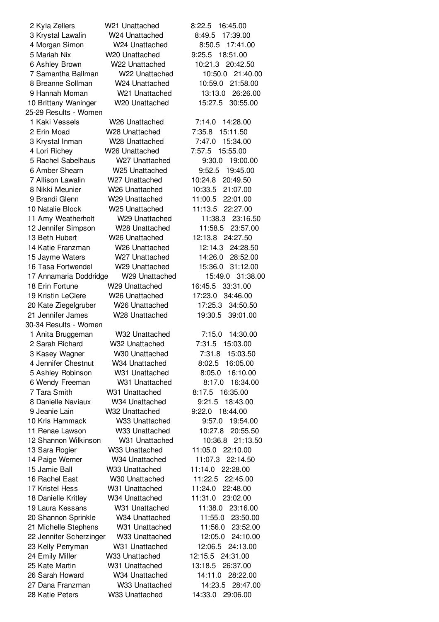Kyla Zellers W21 Unattached 8:22.5 16:45.00 Krystal Lawalin W24 Unattached 8:49.5 17:39.00 Morgan Simon W24 Unattached 8:50.5 17:41.00 Mariah Nix W20 Unattached 9:25.5 18:51.00 Ashley Brown W22 Unattached 10:21.3 20:42.50 Samantha Ballman W22 Unattached 10:50.0 21:40.00 Breanne Sollman W24 Unattached 10:59.0 21:58.00 Hannah Moman W21 Unattached 13:13.0 26:26.00 Brittany Waninger W20 Unattached 15:27.5 30:55.00 25-29 Results - Women Kaki Vessels W26 Unattached 7:14.0 14:28.00 Erin Moad W28 Unattached 7:35.8 15:11.50 Krystal Inman W28 Unattached 7:47.0 15:34.00 Lori Richey W26 Unattached 7:57.5 15:55.00 Rachel Sabelhaus W27 Unattached 9:30.0 19:00.00 Amber Shearn W25 Unattached 9:52.5 19:45.00 Allison Lawalin W27 Unattached 10:24.8 20:49.50 Nikki Meunier W26 Unattached 10:33.5 21:07.00 Brandi Glenn W29 Unattached 11:00.5 22:01.00 Natalie Block W25 Unattached 11:13.5 22:27.00 Amy Weatherholt W29 Unattached 11:38.3 23:16.50 Jennifer Simpson W28 Unattached 11:58.5 23:57.00 Beth Hubert W26 Unattached 12:13.8 24:27.50 Katie Franzman W26 Unattached 12:14.3 24:28.50 Jayme Waters W27 Unattached 14:26.0 28:52.00 Tasa Fortwendel W29 Unattached 15:36.0 31:12.00 Annamaria Doddridge W29 Unattached 15:49.0 31:38.00 Erin Fortune W29 Unattached 16:45.5 33:31.00 Kristin LeClere W26 Unattached 17:23.0 34:46.00 Kate Ziegelgruber W26 Unattached 17:25.3 34:50.50 Jennifer James W28 Unattached 19:30.5 39:01.00 30-34 Results - Women Anita Bruggeman W32 Unattached 7:15.0 14:30.00 Sarah Richard W32 Unattached 7:31.5 15:03.00 Kasey Wagner W30 Unattached 7:31.8 15:03.50 Jennifer Chestnut W34 Unattached 8:02.5 16:05.00 Ashley Robinson W31 Unattached 8:05.0 16:10.00 Wendy Freeman W31 Unattached 8:17.0 16:34.00 Tara Smith W31 Unattached 8:17.5 16:35.00 Danielle Naviaux W34 Unattached 9:21.5 18:43.00 Jeanie Lain W32 Unattached 9:22.0 18:44.00 Kris Hammack W33 Unattached 9:57.0 19:54.00 Renae Lawson W33 Unattached 10:27.8 20:55.50 Shannon Wilkinson W31 Unattached 10:36.8 21:13.50 Sara Rogier W33 Unattached 11:05.0 22:10.00 Paige Werner W34 Unattached 11:07.3 22:14.50 Jamie Ball W33 Unattached 11:14.0 22:28.00 Rachel East W30 Unattached 11:22.5 22:45.00 Kristel Hess W31 Unattached 11:24.0 22:48.00 Danielle Kritley W34 Unattached 11:31.0 23:02.00 Laura Kessans W31 Unattached 11:38.0 23:16.00 Shannon Sprinkle W34 Unattached 11:55.0 23:50.00 Michelle Stephens W31 Unattached 11:56.0 23:52.00 Jennifer Scherzinger W33 Unattached 12:05.0 24:10.00 Kelly Perryman W31 Unattached 12:06.5 24:13.00 Emily Miller W33 Unattached 12:15.5 24:31.00 Kate Martin W31 Unattached 13:18.5 26:37.00 Sarah Howard W34 Unattached 14:11.0 28:22.00 Dana Franzman W33 Unattached 14:23.5 28:47.00 Katie Peters W33 Unattached 14:33.0 29:06.00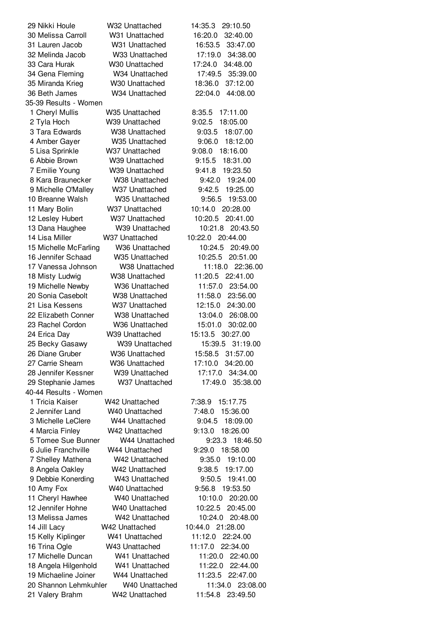| 29 Nikki Houle        | W32 Unattached | 14:35.3<br>29:10.50 |
|-----------------------|----------------|---------------------|
| 30 Melissa Carroll    | W31 Unattached | 16:20.0<br>32:40.00 |
| 31 Lauren Jacob       | W31 Unattached | 16:53.5<br>33:47.00 |
| 32 Melinda Jacob      | W33 Unattached | 17:19.0<br>34:38.00 |
| 33 Cara Hurak         | W30 Unattached | 17:24.0<br>34:48.00 |
| 34 Gena Fleming       | W34 Unattached | 35:39.00<br>17:49.5 |
| 35 Miranda Krieg      | W30 Unattached | 18:36.0<br>37:12.00 |
| 36 Beth James         | W34 Unattached | 22:04.0<br>44:08.00 |
| 35-39 Results - Women |                |                     |
| 1 Cheryl Mullis       | W35 Unattached | 8:35.5<br>17:11.00  |
| 2 Tyla Hoch           | W39 Unattached | 18:05.00<br>9:02.5  |
| 3 Tara Edwards        | W38 Unattached | 18:07.00<br>9:03.5  |
| 4 Amber Gayer         | W35 Unattached | 9:06.0<br>18:12.00  |
| 5 Lisa Sprinkle       | W37 Unattached | 18:16.00<br>9:08.0  |
| 6 Abbie Brown         | W39 Unattached | 18:31.00<br>9:15.5  |
| 7 Emilie Young        | W39 Unattached | 19:23.50<br>9:41.8  |
| 8 Kara Braunecker     | W38 Unattached | 9:42.0<br>19:24.00  |
| 9 Michelle O'Malley   | W37 Unattached | 19:25.00<br>9:42.5  |
| 10 Breanne Walsh      | W35 Unattached | 9:56.5<br>19:53.00  |
| 11 Mary Bolin         | W37 Unattached | 10:14.0 20:28.00    |
| 12 Lesley Hubert      | W37 Unattached | 10:20.5<br>20:41.00 |
| 13 Dana Haughee       | W39 Unattached | 10:21.8<br>20:43.50 |
| 14 Lisa Miller        | W37 Unattached | 10:22.0 20:44.00    |
| 15 Michelle McFarling | W36 Unattached | 10:24.5<br>20:49.00 |
| 16 Jennifer Schaad    | W35 Unattached | 10:25.5<br>20:51.00 |
| 17 Vanessa Johnson    | W38 Unattached | 11:18.0 22:36.00    |
| 18 Misty Ludwig       | W38 Unattached | 11:20.5<br>22:41.00 |
| 19 Michelle Newby     | W36 Unattached | 11:57.0<br>23:54.00 |
| 20 Sonia Casebolt     | W38 Unattached | 11:58.0<br>23:56.00 |
| 21 Lisa Kessens       | W37 Unattached | 24:30.00<br>12:15.0 |
| 22 Elizabeth Conner   | W38 Unattached | 13:04.0 26:08.00    |
| 23 Rachel Cordon      | W36 Unattached | 30:02.00<br>15:01.0 |
| 24 Erica Day          | W39 Unattached | 15:13.5<br>30:27.00 |
| 25 Becky Gasawy       | W39 Unattached | 31:19.00<br>15:39.5 |
| 26 Diane Gruber       | W36 Unattached | 15:58.5 31:57.00    |
| 27 Carrie Shearn      | W36 Unattached | 17:10.0<br>34:20.00 |
| 28 Jennifer Kessner   | W39 Unattached | 17:17.0<br>34:34.00 |
| 29 Stephanie James    | W37 Unattached | 17:49.0<br>35:38.00 |
| 40-44 Results - Women |                |                     |
| 1 Tricia Kaiser       | W42 Unattached | 15:17.75<br>7:38.9  |
| 2 Jennifer Land       | W40 Unattached | 7:48.0<br>15:36.00  |
| 3 Michelle LeClere    | W44 Unattached | 9:04.5<br>18:09.00  |
| 4 Marcia Finley       | W42 Unattached | 18:26.00<br>9:13.0  |
| 5 Tomee Sue Bunner    | W44 Unattached | 18:46.50<br>9:23.3  |
| 6 Julie Franchville   | W44 Unattached | 9:29.0<br>18:58.00  |
| 7 Shelley Mathena     | W42 Unattached | 19:10.00<br>9:35.0  |
| 8 Angela Oakley       | W42 Unattached | 19:17.00<br>9:38.5  |
| 9 Debbie Konerding    | W43 Unattached | 19:41.00<br>9:50.5  |
| 10 Amy Fox            | W40 Unattached | 9:56.8 19:53.50     |
| 11 Cheryl Hawhee      | W40 Unattached | 10:10.0<br>20:20.00 |
| 12 Jennifer Hohne     | W40 Unattached | 10:22.5<br>20:45.00 |
| 13 Melissa James      | W42 Unattached | 10:24.0<br>20:48.00 |
| 14 Jill Lacy          | W42 Unattached | 10:44.0 21:28.00    |
| 15 Kelly Kiplinger    | W41 Unattached | 11:12.0<br>22:24.00 |
| 16 Trina Ogle         | W43 Unattached | 11:17.0<br>22:34.00 |
| 17 Michelle Duncan    | W41 Unattached | 11:20.0<br>22:40.00 |
| 18 Angela Hilgenhold  | W41 Unattached | 11:22.0<br>22:44.00 |
| 19 Michaeline Joiner  | W44 Unattached | 11:23.5<br>22:47.00 |
| 20 Shannon Lehmkuhler | W40 Unattached | 11:34.0 23:08.00    |
| 21 Valery Brahm       | W42 Unattached | 11:54.8<br>23:49.50 |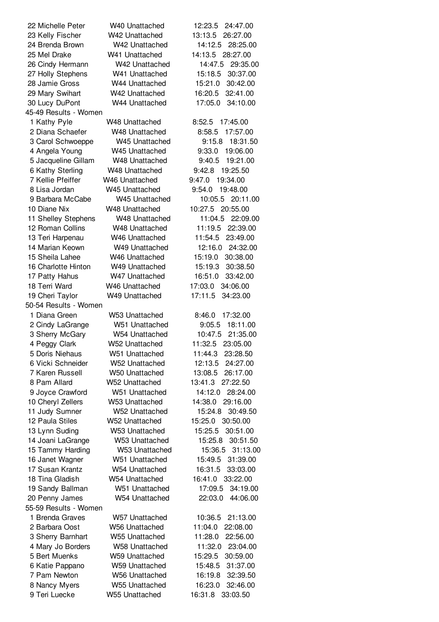| 22 Michelle Peter              | W40 Unattached             | 12:23.5<br>24:47.00 |
|--------------------------------|----------------------------|---------------------|
| 23 Kelly Fischer               | W42 Unattached             | 13:13.5<br>26:27.00 |
| 24 Brenda Brown                | W42 Unattached             | 14:12.5<br>28:25.00 |
| 25 Mel Drake                   | W41 Unattached             | 14:13.5<br>28:27.00 |
| 26 Cindy Hermann               | W42 Unattached             | 14:47.5<br>29:35.00 |
| 27 Holly Stephens              | W41 Unattached             | 30:37.00<br>15:18.5 |
| 28 Jamie Gross                 | W44 Unattached             | 15:21.0<br>30:42.00 |
| 29 Mary Swihart                | W42 Unattached             | 32:41.00<br>16:20.5 |
| 30 Lucy DuPont                 | W44 Unattached             | 34:10.00<br>17:05.0 |
| 45-49 Results - Women          |                            |                     |
| 1 Kathy Pyle                   | <b>W48 Unattached</b>      | 8:52.5<br>17:45.00  |
| 2 Diana Schaefer               | W48 Unattached             | 17:57.00<br>8:58.5  |
| 3 Carol Schwoeppe              | W45 Unattached             | 9:15.8<br>18:31.50  |
| 4 Angela Young                 | W45 Unattached             | 9:33.0<br>19:06.00  |
| 5 Jacqueline Gillam            | W48 Unattached             | 19:21.00<br>9:40.5  |
| 6 Kathy Sterling               | W48 Unattached             | 9:42.8<br>19:25.50  |
| 7 Kellie Pfeiffer              | W46 Unattached             | 9:47.0<br>19:34.00  |
| 8 Lisa Jordan                  | W45 Unattached             | 9:54.0 19:48.00     |
| 9 Barbara McCabe               | W45 Unattached             | 10:05.5<br>20:11.00 |
|                                |                            | 10:27.5<br>20:55.00 |
| 10 Diane Nix                   | W48 Unattached             |                     |
| 11 Shelley Stephens            | W48 Unattached             | 22:09.00<br>11:04.5 |
| 12 Roman Collins               | W48 Unattached             | 11:19.5<br>22:39.00 |
| 13 Teri Harpenau               | W46 Unattached             | 11:54.5<br>23:49.00 |
| 14 Marian Keown                | W49 Unattached             | 12:16.0<br>24:32.00 |
| 15 Sheila Lahee                | W <sub>46</sub> Unattached | 15:19.0<br>30:38.00 |
| 16 Charlotte Hinton            | W49 Unattached             | 30:38.50<br>15:19.3 |
| 17 Patty Hahus                 | W47 Unattached             | 33:42.00<br>16:51.0 |
| 18 Terri Ward                  | W46 Unattached             | 17:03.0<br>34:06.00 |
| 19 Cheri Taylor                | W49 Unattached             | 17:11.5<br>34:23.00 |
| 50-54 Results - Women          |                            |                     |
| 1 Diana Green                  | W53 Unattached             | 17:32.00<br>8:46.0  |
| 2 Cindy LaGrange               | W51 Unattached             | 18:11.00<br>9:05.5  |
| 3 Sherry McGary                | W54 Unattached             | 10:47.5<br>21:35.00 |
| 4 Peggy Clark                  | W52 Unattached             | 23:05.00<br>11:32.5 |
| 5 Doris Niehaus                | W51 Unattached             | 11:44.3 23:28.50    |
| 6 Vicki Schneider              | W52 Unattached             | 12:13.5 24:27.00    |
| 7 Karen Russell                | W50 Unattached             | 13:08.5<br>26:17.00 |
| 8 Pam Allard                   | W52 Unattached             | 27:22.50<br>13:41.3 |
| 9 Joyce Crawford               | W51 Unattached             | 14:12.0<br>28:24.00 |
| 10 Cheryl Zellers              | W53 Unattached             | 14:38.0<br>29:16.00 |
| 11 Judy Sumner                 | W52 Unattached             | 15:24.8<br>30:49.50 |
| 12 Paula Stiles                | W52 Unattached             | 30:50.00<br>15:25.0 |
| 13 Lynn Suding                 | W53 Unattached             | 15:25.5<br>30:51.00 |
| 14 Joani LaGrange              | W53 Unattached             | 30:51.50<br>15:25.8 |
| 15 Tammy Harding               | W53 Unattached             | 15:36.5<br>31:13.00 |
| 16 Janet Wagner                | W51 Unattached             | 31:39.00<br>15:49.5 |
| 17 Susan Krantz                | W54 Unattached             | 16:31.5<br>33:03.00 |
| 18 Tina Gladish                | W54 Unattached             | 16:41.0<br>33:22.00 |
| 19 Sandy Ballman               | W51 Unattached             | 17:09.5<br>34:19.00 |
| 20 Penny James                 | W54 Unattached             | 22:03.0<br>44:06.00 |
| 55-59 Results - Women          |                            |                     |
| 1 Brenda Graves                | W57 Unattached             | 10:36.5<br>21:13.00 |
| 2 Barbara Oost                 | W56 Unattached             | 11:04.0<br>22:08.00 |
| 3 Sherry Barnhart              | W55 Unattached             | 11:28.0<br>22:56.00 |
| 4 Mary Jo Borders              | <b>W58 Unattached</b>      | 11:32.0<br>23:04.00 |
| 5 Bert Muenks                  | W59 Unattached             | 15:29.5<br>30:59.00 |
| 6 Katie Pappano                | <b>W59 Unattached</b>      | 31:37.00<br>15:48.5 |
| 7 Pam Newton                   | <b>W56 Unattached</b>      | 16:19.8<br>32:39.50 |
|                                | <b>W55 Unattached</b>      | 16:23.0<br>32:46.00 |
| 8 Nancy Myers<br>9 Teri Luecke |                            |                     |
|                                | W55 Unattached             | 16:31.8<br>33:03.50 |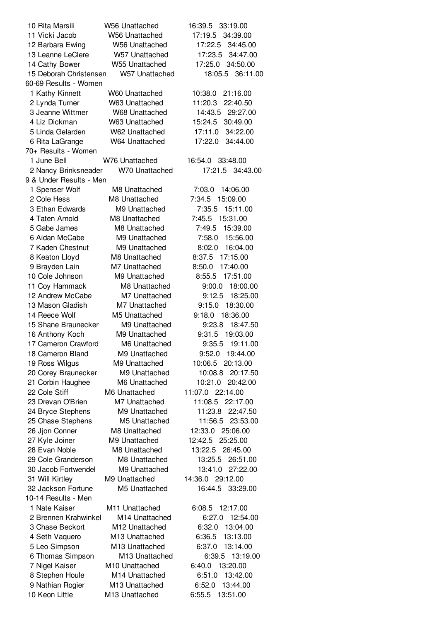| 10 Rita Marsili                       | W56 Unattached                 | 16:39.5 33:19.00                           |
|---------------------------------------|--------------------------------|--------------------------------------------|
| 11 Vicki Jacob                        | <b>W56 Unattached</b>          | 17:19.5<br>34:39.00                        |
| 12 Barbara Ewing                      | <b>W56 Unattached</b>          | 17:22.5<br>34:45.00                        |
| 13 Leanne LeClere                     | W57 Unattached                 | 34:47.00<br>17:23.5                        |
| 14 Cathy Bower                        | W55 Unattached                 | 34:50.00<br>17:25.0                        |
| 15 Deborah Christensen                | W57 Unattached                 | 36:11.00<br>18:05.5                        |
| 60-69 Results - Women                 |                                |                                            |
| 1 Kathy Kinnett                       | <b>W60 Unattached</b>          | 10:38.0<br>21:16.00                        |
| 2 Lynda Turner                        | W63 Unattached                 | 11:20.3<br>22:40.50                        |
| 3 Jeanne Wittmer                      | <b>W68 Unattached</b>          | 14:43.5<br>29:27.00                        |
| 4 Liz Dickman                         | W63 Unattached                 | 15:24.5<br>30:49.00                        |
| 5 Linda Gelarden                      | W62 Unattached                 | 17:11.0<br>34:22.00                        |
| 6 Rita LaGrange                       | W64 Unattached                 | 17:22.0<br>34:44.00                        |
| 70+ Results - Women                   |                                |                                            |
| 1 June Bell                           | W76 Unattached                 | 16:54.0<br>33:48.00                        |
| 2 Nancy Brinksneader                  | W70 Unattached                 | 17:21.5 34:43.00                           |
| 9 & Under Results - Men               |                                |                                            |
| 1 Spenser Wolf                        | M8 Unattached                  | 14:06.00<br>7:03.0                         |
| 2 Cole Hess                           | M8 Unattached                  | 7:34.5<br>15:09.00                         |
| 3 Ethan Edwards                       | M9 Unattached                  | 7:35.5<br>15:11.00                         |
| 4 Taten Arnold                        | M8 Unattached                  | 7:45.5<br>15:31.00                         |
| 5 Gabe James                          | M8 Unattached                  | 7:49.5<br>15:39.00                         |
| 6 Aidan McCabe                        | M9 Unattached                  | 15:56.00<br>7:58.0                         |
| 7 Kaden Chestnut                      | M9 Unattached                  | 8:02.0<br>16:04.00                         |
| 8 Keaton Lloyd                        | M8 Unattached                  | 8:37.5<br>17:15.00                         |
| 9 Brayden Lain                        | M7 Unattached                  | 8:50.0<br>17:40.00                         |
| 10 Cole Johnson                       | M9 Unattached                  | 17:51.00<br>8:55.5                         |
| 11 Coy Hammack                        | M8 Unattached                  | 9:00.0<br>18:00.00                         |
| 12 Andrew McCabe                      | M7 Unattached                  | 9:12.5<br>18:25.00                         |
| 13 Mason Gladish                      | M7 Unattached                  | 9:15.0<br>18:30.00                         |
| 14 Reece Wolf                         | M5 Unattached                  | 9:18.0<br>18:36.00                         |
| 15 Shane Braunecker                   | M9 Unattached                  | 9:23.8<br>18:47.50                         |
| 16 Anthony Koch                       | M9 Unattached                  | 9:31.5<br>19:03.00                         |
| 17 Cameron Crawford                   | M6 Unattached                  | 9:35.5<br>19:11.00                         |
| 18 Cameron Bland                      | M9 Unattached                  | 9:52.0<br>19:44.00                         |
| 19 Ross Wilgus                        | M9 Unattached                  | 20:13.00<br>10:06.5                        |
| 20 Corey Braunecker                   | M9 Unattached                  | 10:08.8 20:17.50                           |
| 21 Corbin Haughee                     | M6 Unattached                  | 10:21.0<br>20:42.00                        |
| 22 Cole Stiff                         | M6 Unattached                  | 11:07.0 22:14.00                           |
| 23 Drevan O'Brien                     | M7 Unattached                  | 22:17.00<br>11:08.5                        |
| 24 Bryce Stephens                     | M9 Unattached                  | 11:23.8<br>22:47.50                        |
| 25 Chase Stephens                     | M5 Unattached                  | 11:56.5<br>23:53.00                        |
| 26 Jjon Conner                        | M8 Unattached                  | 12:33.0<br>25:06.00                        |
| 27 Kyle Joiner                        | M9 Unattached                  | 12:42.5<br>25:25.00                        |
| 28 Evan Noble<br>29 Cole Granderson   | M8 Unattached<br>M8 Unattached | 26:45.00<br>13:22.5                        |
| 30 Jacob Fortwendel                   | M9 Unattached                  | 26:51.00<br>13:25.5<br>13:41.0<br>27:22.00 |
|                                       | M9 Unattached                  | 14:36.0 29:12.00                           |
| 31 Will Kirtley<br>32 Jackson Fortune | M5 Unattached                  | 16:44.5 33:29.00                           |
| 10-14 Results - Men                   |                                |                                            |
| 1 Nate Kaiser                         | M11 Unattached                 | 6:08.5<br>12:17.00                         |
| 2 Brennen Krahwinkel                  | M14 Unattached                 | 12:54.00<br>6:27.0                         |
| 3 Chase Beckort                       | M12 Unattached                 | 6:32.0<br>13:04.00                         |
|                                       | M13 Unattached                 | 13:13.00<br>6:36.5                         |
| 4 Seth Vaquero                        |                                |                                            |
| 5 Leo Simpson                         | M13 Unattached                 | 13:14.00<br>6:37.0                         |
| 6 Thomas Simpson                      | M13 Unattached                 | 13:19.00<br>6:39.5                         |
| 7 Nigel Kaiser                        | M10 Unattached                 | 6:40.0<br>13:20.00                         |
| 8 Stephen Houle                       | M14 Unattached                 | 6:51.0<br>13:42.00                         |
| 9 Nathian Rogier                      | M13 Unattached                 | 13:44.00<br>6:52.0                         |
| 10 Keon Little                        | M13 Unattached                 | 6:55.5<br>13:51.00                         |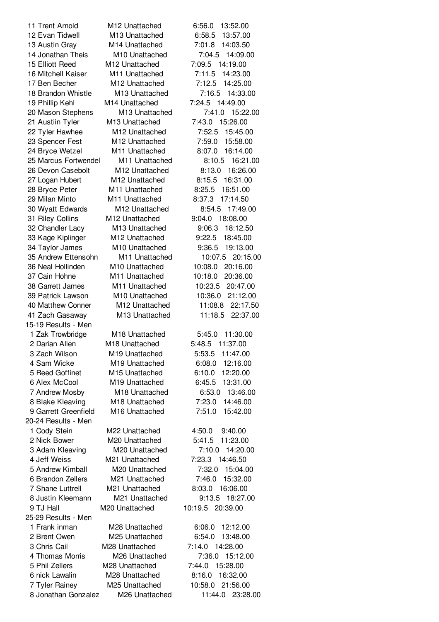15-19 Results - Men 20-24 Results - Men 25-29 Results - Men

 Trent Arnold M12 Unattached 6:56.0 13:52.00 Evan Tidwell M13 Unattached 6:58.5 13:57.00 Austin Gray M14 Unattached 7:01.8 14:03.50 Jonathan Theis M10 Unattached 7:04.5 14:09.00 Elliott Reed M12 Unattached 7:09.5 14:19.00 Mitchell Kaiser M11 Unattached 7:11.5 14:23.00 Ben Becher M12 Unattached 7:12.5 14:25.00 Brandon Whistle M13 Unattached 7:16.5 14:33.00 Phillip Kehl M14 Unattached 7:24.5 14:49.00 Mason Stephens M13 Unattached 7:41.0 15:22.00 Austiin Tyler M13 Unattached 7:43.0 15:26.00 Tyler Hawhee M12 Unattached 7:52.5 15:45.00 Spencer Fest M12 Unattached 7:59.0 15:58.00 Bryce Wetzel M11 Unattached 8:07.0 16:14.00 Marcus Fortwendel M11 Unattached 8:10.5 16:21.00 Devon Casebolt M12 Unattached 8:13.0 16:26.00 Logan Hubert M12 Unattached 8:15.5 16:31.00 Bryce Peter M11 Unattached 8:25.5 16:51.00 Milan Minto M11 Unattached 8:37.3 17:14.50 Wyatt Edwards M12 Unattached 8:54.5 17:49.00 Riley Collins M12 Unattached 9:04.0 18:08.00 Chandler Lacy M13 Unattached 9:06.3 18:12.50 Kage Kiplinger M12 Unattached 9:22.5 18:45.00 Taylor James M10 Unattached 9:36.5 19:13.00 Andrew Ettensohn M11 Unattached 10:07.5 20:15.00 Neal Hollinden M10 Unattached 10:08.0 20:16.00 Cain Hohne M11 Unattached 10:18.0 20:36.00 Garrett James M11 Unattached 10:23.5 20:47.00 Patrick Lawson M10 Unattached 10:36.0 21:12.00 Matthew Conner M12 Unattached 11:08.8 22:17.50 Zach Gasaway M13 Unattached 11:18.5 22:37.00 Zak Trowbridge M18 Unattached 5:45.0 11:30.00 Darian Allen M18 Unattached 5:48.5 11:37.00 Zach Wilson M19 Unattached 5:53.5 11:47.00 Sam Wicke M19 Unattached 6:08.0 12:16.00 Reed Goffinet M15 Unattached 6:10.0 12:20.00 Alex McCool M19 Unattached 6:45.5 13:31.00 Andrew Mosby M18 Unattached 6:53.0 13:46.00 Blake Kleaving M18 Unattached 7:23.0 14:46.00 Garrett Greenfield M16 Unattached 7:51.0 15:42.00 Cody Stein M22 Unattached 4:50.0 9:40.00 Nick Bower M20 Unattached 5:41.5 11:23.00 Adam Kleaving M20 Unattached 7:10.0 14:20.00 Jeff Weiss M21 Unattached 7:23.3 14:46.50 Andrew Kimball M20 Unattached 7:32.0 15:04.00 Brandon Zellers M21 Unattached 7:46.0 15:32.00 Shane Luttrell M21 Unattached 8:03.0 16:06.00 Justin Kleemann M21 Unattached 9:13.5 18:27.00 TJ Hall M20 Unattached 10:19.5 20:39.00 Frank inman M28 Unattached 6:06.0 12:12.00 Brent Owen M25 Unattached 6:54.0 13:48.00 Chris Cail M28 Unattached 7:14.0 14:28.00 Thomas Morris M26 Unattached 7:36.0 15:12.00 Phil Zellers M28 Unattached 7:44.0 15:28.00 nick Lawalin M28 Unattached 8:16.0 16:32.00 Tyler Rainey M25 Unattached 10:58.0 21:56.00 Jonathan Gonzalez M26 Unattached 11:44.0 23:28.00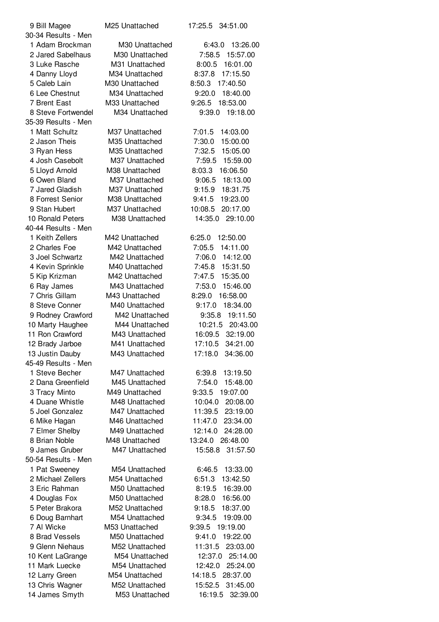| 9 Bill Magee        | M25 Unattached | 34:51.00<br>17:25.5  |
|---------------------|----------------|----------------------|
| 30-34 Results - Men |                |                      |
| 1 Adam Brockman     | M30 Unattached | 6:43.0<br>13:26.00   |
| 2 Jared Sabelhaus   | M30 Unattached | 7:58.5 15:57.00      |
| 3 Luke Rasche       | M31 Unattached | 8:00.5<br>16:01.00   |
| 4 Danny Lloyd       | M34 Unattached | 17:15.50<br>8:37.8   |
| 5 Caleb Lain        | M30 Unattached | 8:50.3<br>17:40.50   |
| 6 Lee Chestnut      | M34 Unattached | 18:40.00<br>9:20.0   |
| 7 Brent East        | M33 Unattached | 9:26.5<br>18:53.00   |
| 8 Steve Fortwendel  | M34 Unattached | 9:39.0<br>19:18.00   |
| 35-39 Results - Men |                |                      |
| 1 Matt Schultz      | M37 Unattached | 7:01.5<br>14:03.00   |
| 2 Jason Theis       | M35 Unattached | 15:00.00<br>7:30.0   |
| 3 Ryan Hess         | M35 Unattached | 15:05.00<br>7:32.5   |
| 4 Josh Casebolt     | M37 Unattached | 15:59.00<br>7:59.5   |
| 5 Lloyd Arnold      | M38 Unattached | 8:03.3<br>16:06.50   |
| 6 Owen Bland        | M37 Unattached | 18:13.00<br>9:06.5   |
| 7 Jared Gladish     | M37 Unattached | 9:15.9<br>18:31.75   |
| 8 Forrest Senior    | M38 Unattached | 9:41.5<br>19:23.00   |
| 9 Stan Hubert       | M37 Unattached | 10:08.5<br>20:17.00  |
| 10 Ronald Peters    | M38 Unattached | 14:35.0<br>29:10.00  |
| 40-44 Results - Men |                |                      |
| 1 Keith Zellers     | M42 Unattached | 12:50.00<br>6:25.0   |
| 2 Charles Foe       | M42 Unattached | 14:11.00<br>7:05.5   |
| 3 Joel Schwartz     | M42 Unattached | 14:12.00<br>7:06.0   |
| 4 Kevin Sprinkle    | M40 Unattached | 7:45.8<br>15:31.50   |
| 5 Kip Krizman       | M42 Unattached | 7:47.5<br>15:35.00   |
| 6 Ray James         | M43 Unattached | 7:53.0<br>15:46.00   |
| 7 Chris Gillam      | M43 Unattached | 16:58.00<br>8:29.0   |
| 8 Steve Conner      | M40 Unattached | 18:34.00<br>9:17.0   |
| 9 Rodney Crawford   | M42 Unattached | 19:11.50<br>9:35.8   |
| 10 Marty Haughee    | M44 Unattached | 20:43.00<br>10:21.5  |
| 11 Ron Crawford     | M43 Unattached | 32:19.00<br>16:09.5  |
| 12 Brady Jarboe     | M41 Unattached | 17:10.5<br>34:21.00  |
| 13 Justin Dauby     | M43 Unattached | 17:18.0<br>34:36.00  |
| 45-49 Results - Men |                |                      |
| 1 Steve Becher      | M47 Unattached | 6:39.8               |
| 2 Dana Greenfield   | M45 Unattached | 13:19.50<br>7:54.0   |
|                     |                | 15:48.00<br>19:07.00 |
| 3 Tracy Minto       | M49 Unattached | 9:33.5               |
| 4 Duane Whistle     | M48 Unattached | 10:04.0<br>20:08.00  |
| 5 Joel Gonzalez     | M47 Unattached | 11:39.5<br>23:19.00  |
| 6 Mike Hagan        | M46 Unattached | 11:47.0<br>23:34.00  |
| 7 Elmer Shelby      | M49 Unattached | 12:14.0<br>24:28.00  |
| 8 Brian Noble       | M48 Unattached | 13:24.0 26:48.00     |
| 9 James Gruber      | M47 Unattached | 31:57.50<br>15:58.8  |
| 50-54 Results - Men |                |                      |
| 1 Pat Sweeney       | M54 Unattached | 6:46.5<br>13:33.00   |
| 2 Michael Zellers   | M54 Unattached | 6:51.3<br>13:42.50   |
| 3 Eric Rahman       | M50 Unattached | 8:19.5<br>16:39.00   |
| 4 Douglas Fox       | M50 Unattached | 16:56.00<br>8:28.0   |
| 5 Peter Brakora     | M52 Unattached | 9:18.5<br>18:37.00   |
| 6 Doug Barnhart     | M54 Unattached | 9:34.5<br>19:09.00   |
| 7 Al Wicke          | M53 Unattached | 9:39.5<br>19:19.00   |
| 8 Brad Vessels      | M50 Unattached | 9:41.0<br>19:22.00   |
| 9 Glenn Niehaus     | M52 Unattached | 11:31.5<br>23:03.00  |
| 10 Kent LaGrange    | M54 Unattached | 25:14.00<br>12:37.0  |
| 11 Mark Luecke      | M54 Unattached | 12:42.0<br>25:24.00  |
| 12 Larry Green      | M54 Unattached | 14:18.5<br>28:37.00  |
| 13 Chris Wagner     | M52 Unattached | 15:52.5<br>31:45.00  |
| 14 James Smyth      | M53 Unattached | 16:19.5<br>32:39.00  |